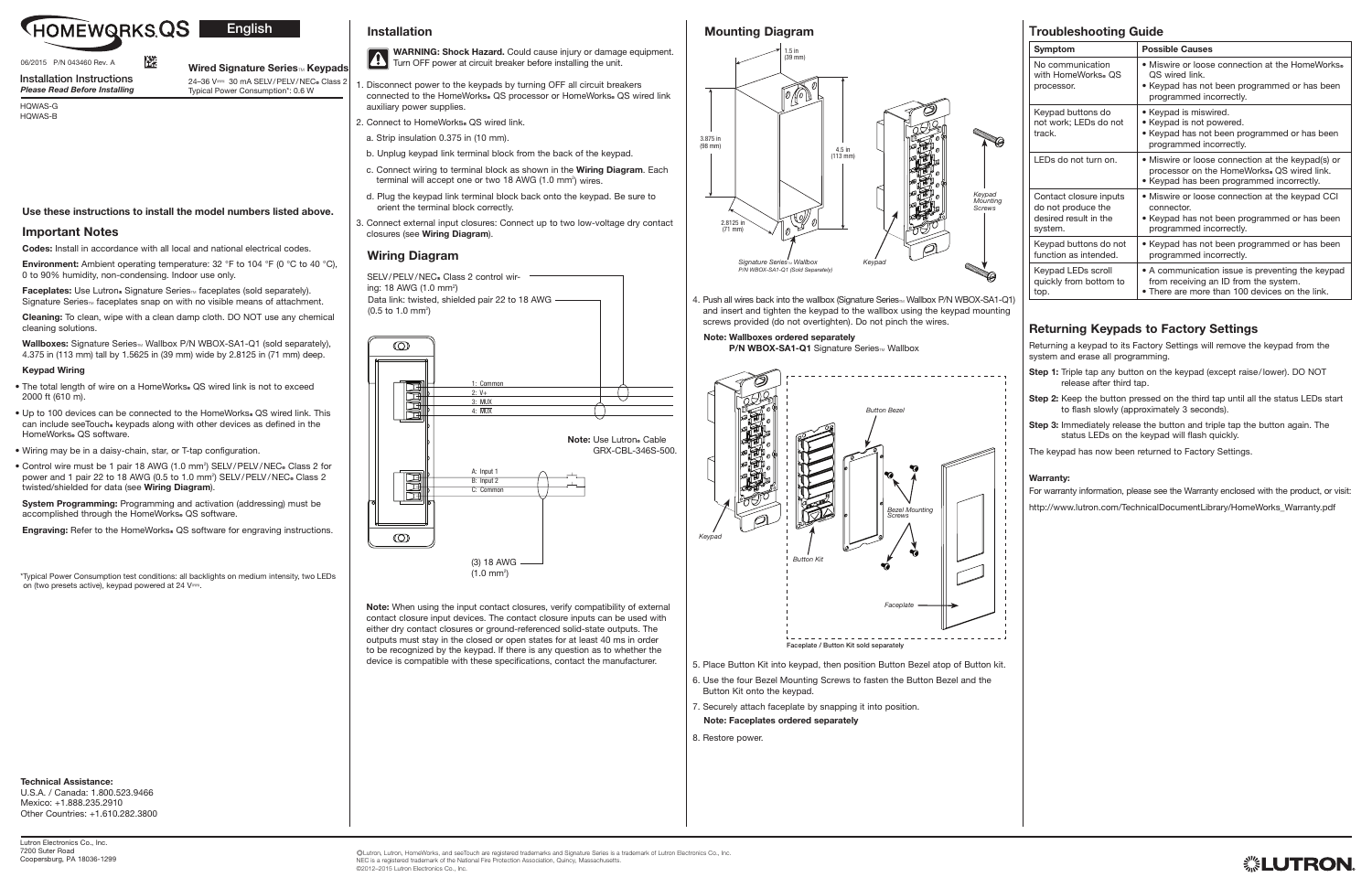

# **English**

4. Push all wires back into the wallbox (Signature Series<sub>™</sub> Wallbox P/N WBOX-SA1-Q1) and insert and tighten the keypad to the wallbox using the keypad mounting screws provided (do not overtighten). Do not pinch the wires.

### Note: Wallboxes ordered separately

P/N WBOX-SA1-Q1 Signature Series™ Wallbox

5. Place Button Kit into keypad, then position Button Bezel atop of Button kit.

connected to the HomeWorks® QS processor or HomeWorks® QS wired link auxiliary power supplies.

2. Connect to HomeWorks® QS wired link.

- 6. Use the four Bezel Mounting Screws to fasten the Button Bezel and the Button Kit onto the keypad.
- 7. Securely attach faceplate by snapping it into position.
- Note: Faceplates ordered separately
- 8. Restore power.
- a. Strip insulation 0.375 in (10 mm).
- b. Unplug keypad link terminal block from the back of the keypad.

. Disconnect power to the keypads by turning OFF all circuit breakers

Environment: Ambient operating temperature: 32 °F to 104 °F (0 °C to 40 °C), 0 to 90% humidity, non-condensing. Indoor use only.

Faceplates: Use Lutron® Signature Series<sup>™</sup> faceplates (sold separately). Signature Series<sub>M</sub> faceplates snap on with no visible means of attachment.

- c. Connect wiring to terminal block as shown in the Wiring Diagram. Each terminal will accept one or two 18 AWG (1.0 mm<sup>2</sup>) wires.
- d. Plug the keypad link terminal block back onto the keypad. Be sure to orient the terminal block correctly.
- 3. Connect external input closures: Connect up to two low-voltage dry contact closures (see Wiring Diagram).

Wallboxes: Signature Series<sub>M</sub> Wallbox P/N WBOX-SA1-Q1 (sold separately), 4.375 in (113 mm) tall by 1.5625 in (39 mm) wide by 2.8125 in (71 mm) deep.

- The total length of wire on a HomeWorks® QS wired link is not to exceed 2000 ft (610 m).
- Up to 100 devices can be connected to the HomeWorks. QS wired link. This can include seeTouch keypads along with other devices as defined in the HomeWorks<sup>®</sup> QS software.
- Wiring may be in a daisy-chain, star, or T-tap configuration.
- Control wire must be 1 pair 18 AWG (1.0 mm<sup>2</sup>) SELV/PELV/NEC. Class 2 for power and 1 pair 22 to 18 AWG (0.5 to 1.0 mm<sup>2</sup>) SELV/PELV/NEC. Class 2 twisted/shielded for data (see Wiring Diagram).

System Programming: Programming and activation (addressing) must be accomplished through the HomeWorks. QS software.

Engraving: Refer to the HomeWorks. QS software for engraving instructions.

Note: When using the input contact closures, verify compatibility of external contact closure input devices. The contact closure inputs can be used with either dry contact closures or ground-referenced solid-state outputs. The outputs must stay in the closed or open states for at least 40 ms in order to be recognized by the keypad. If there is any question as to whether the device is compatible with these specifications, contact the manufacturer.

\* Typical Power Consumption test conditions: all backlights on medium intensity, two LEDs on (two presets active), keypad powered at 24 V $=$ .

HQWAS-G

HQWAS-B

## Use these instructions to install the model numbers listed above.

## Important Notes

Codes: Install in accordance with all local and national electrical codes.

蹉

Cleaning: To clean, wipe with a clean damp cloth. DO NOT use any chemical cleaning solutions.

### Keypad Wiring

- Step 1: Triple tap any button on the keypad (except raise/lower). DO NOT release after third tap.
- Step 2: Keep the button pressed on the third tap until all the status LEDs start to flash slowly (approximately 3 seconds).
- Step 3: Immediately release the button and triple tap the button again. The status LEDs on the keypad will flash quickly.

#### Wired Signature Series<sub>M</sub> Keypads 24-36 V== 30 mA SELV/PELV/NEC® Class 2 Typical Power Consumption\*: 0.6 W

Data link: twisted, shielded pair 22 to 18 AWG  $(0.5 \text{ to } 1.0 \text{ mm}^2)$ SELV/PELV/NEC. Class 2 control wiring: 18 AWG (1.0 mm<sup>2</sup>)

Lutron Electronics Co., Inc. 7200 Suter Road Coopersburg, PA 18036-1299

# Troubleshooting Guide

| Symptom                                                                          | <b>Possible Causes</b>                                                                                                                       |
|----------------------------------------------------------------------------------|----------------------------------------------------------------------------------------------------------------------------------------------|
| No communication<br>with HomeWorks® OS<br>processor.                             | • Miswire or loose connection at the HomeWorks.<br>OS wired link.<br>• Keypad has not been programmed or has been<br>programmed incorrectly. |
| Keypad buttons do<br>not work; LEDs do not<br>track.                             | • Keypad is miswired.<br>• Keypad is not powered.<br>• Keypad has not been programmed or has been<br>programmed incorrectly.                 |
| LEDs do not turn on.                                                             | • Miswire or loose connection at the keypad(s) or<br>processor on the HomeWorks. QS wired link.<br>• Keypad has been programmed incorrectly. |
| Contact closure inputs<br>do not produce the<br>desired result in the<br>system. | • Miswire or loose connection at the keypad CCI<br>connector.<br>• Keypad has not been programmed or has been<br>programmed incorrectly.     |
| Keypad buttons do not<br>function as intended.                                   | • Keypad has not been programmed or has been<br>programmed incorrectly.                                                                      |
| Keypad LEDs scroll<br>quickly from bottom to<br>top.                             | • A communication issue is preventing the keypad<br>from receiving an ID from the system.<br>• There are more than 100 devices on the link.  |

# Returning Keypads to Factory Settings

Returning a keypad to its Factory Settings will remove the keypad from the system and erase all programming.

The keypad has now been returned to Factory Settings.

### Warranty:

For warranty information, please see the Warranty enclosed with the product, or visit: http://www.lutron.com/TechnicalDocumentLibrary/HomeWorks\_Warranty.pdf



)Lutron, Lutron, HomeWorks, and seeTouch are registered trademarks and Signature Series is a trademark of Lutron Electronics Co., Inc. NEC is a registered trademark of the National Fire Protection Association, Quincy, Massachusetts. ©2012–2015 Lutron Electronics Co., Inc.

Installation Instructions *Please Read Before Installing*

### Technical Assistance:

U.S.A. / Canada: 1.800.523.9466 Mexico: +1.888.235.2910 Other Countries: +1.610.282.3800

# Wiring Diagram

# Mounting Diagram

Installation

**A** 





WARNING: Shock Hazard. Could cause injury or damage equipment.

Turn OFF power at circuit breaker before installing the unit.



06/2015 P/N 043460 Rev. A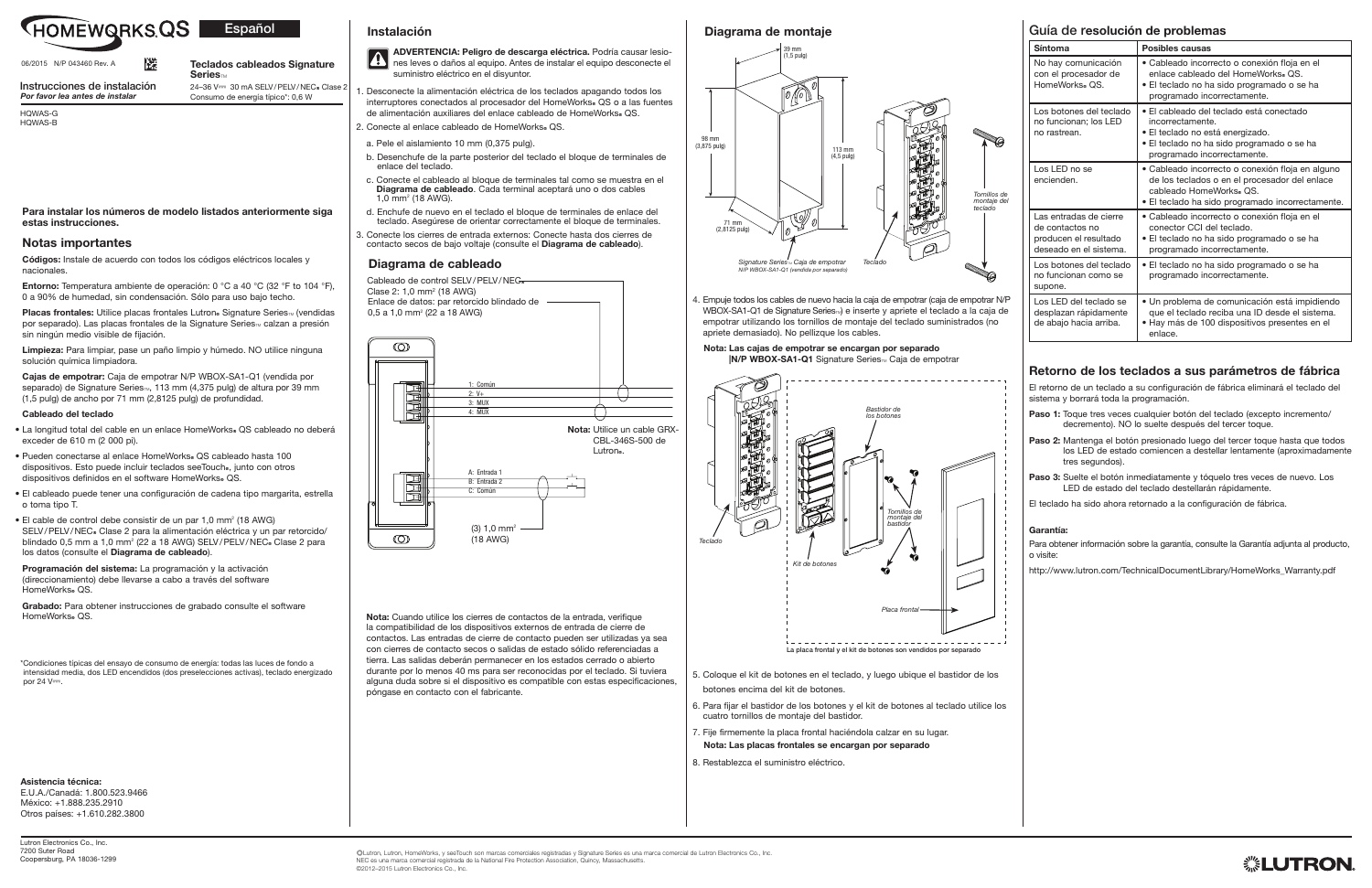4. Empuje todos los cables de nuevo hacia la caja de empotrar (caja de empotrar N/P WBOX-SA1-Q1 de Signature Series<sub>II</sub> e inserte y apriete el teclado a la caja de empotrar utilizando los tornillos de montaje del teclado suministrados (no apriete demasiado). No pellizque los cables.

### Nota: Las cajas de empotrar se encargan por separado

|N/P WBOX-SA1-Q1 Signature Series™ Caja de empotrar

5. Coloque el kit de botones en el teclado, y luego ubique el bastidor de los botones encima del kit de botones.

- 6. Para fijar el bastidor de los botones y el kit de botones al teclado utilice los cuatro tornillos de montaje del bastidor.
- 7. Fije firmemente la placa frontal haciéndola calzar en su lugar.
- Nota: Las placas frontales se encargan por separado
- 8. Restablezca el suministro eléctrico.

HOMEWQRKS.QS Español

- 1. Desconecte la alimentación eléctrica de los teclados apagando todos los interruptores conectados al procesador del HomeWorks. QS o a las fuentes de alimentación auxiliares del enlace cableado de HomeWorks. QS.
- 2. Conecte al enlace cableado de HomeWorks® QS.
- a. Pele el aislamiento 10 mm (0,375 pulg).
- b. Desenchufe de la parte posterior del teclado el bloque de terminales de enlace del teclado.
- c. Conecte el cableado al bloque de terminales tal como se muestra en el Diagrama de cableado. Cada terminal aceptará uno o dos cables  $1,0$  mm<sup>2</sup> (18 AWG).
- d. Enchufe de nuevo en el teclado el bloque de terminales de enlace del teclado. Asegúrese de orientar correctamente el bloque de terminales.
- 3. Conecte los cierres de entrada externos: Conecte hasta dos cierres de contacto secos de bajo voltaje (consulte el Diagrama de cableado).

Placas frontales: Utilice placas frontales Lutron. Signature Series. (vendidas por separado). Las placas frontales de la Signature Series<sub>M</sub> calzan a presión sin ningún medio visible de fijación.

- La longitud total del cable en un enlace HomeWorks. QS cableado no deberá exceder de 610 m (2 000 pi).
- Pueden conectarse al enlace HomeWorks. QS cableado hasta 100 dispositivos. Esto puede incluir teclados seeTouch., junto con otros dispositivos definidos en el software HomeWorks. QS.
- El cableado puede tener una configuración de cadena tipo margarita, estrella o toma tipo T.
- $\bullet$  El cable de control debe consistir de un par 1,0 mm<sup>2</sup> (18 AWG) SELV/PELV/NEC. Clase 2 para la alimentación eléctrica y un par retorcido/ blindado 0,5 mm a 1,0 mm<sup>2</sup> (22 a 18 AWG) SELV/PELV/NEC. Clase 2 para los datos (consulte el Diagrama de cableado).

Programación del sistema: La programación y la activación (direccionamiento) debe llevarse a cabo a través del software HomeWorks, OS.

> Nota: Cuando utilice los cierres de contactos de la entrada, verifique la compatibilidad de los dispositivos externos de entrada de cierre de contactos. Las entradas de cierre de contacto pueden ser utilizadas ya sea con cierres de contacto secos o salidas de estado sólido referenciadas a tierra. Las salidas deberán permanecer en los estados cerrado o abierto durante por lo menos 40 ms para ser reconocidas por el teclado. Si tuviera alguna duda sobre si el dispositivo es compatible con estas especificaciones, póngase en contacto con el fabricante.

Grabado: Para obtener instrucciones de grabado consulte el software HomeWorks® QS.

\* Condiciones típicas del ensayo de consumo de energía: todas las luces de fondo a intensidad media, dos LED encendidos (dos preselecciones activas), teclado energizado por  $24 V =$ .

Lutron Electronics Co., Inc. 7200 Suter Road Coopersburg, PA 18036-1299

HQWAS-G HQWAS-B

Para instalar los números de modelo listados anteriormente siga estas instrucciones.

## Notas importantes

Códigos: Instale de acuerdo con todos los códigos eléctricos locales y nacionales.

Entorno: Temperatura ambiente de operación: 0 °C a 40 °C (32 °F to 104 °F), 0 a 90% de humedad, sin condensación. Sólo para uso bajo techo.

Limpieza: Para limpiar, pase un paño limpio y húmedo. NO utilice ninguna solución química limpiadora.

Cajas de empotrar: Caja de empotrar N/P WBOX-SA1-Q1 (vendida por separado) de Signature Series<sub>TM</sub>, 113 mm (4,375 pulg) de altura por 39 mm (1,5 pulg) de ancho por 71 mm (2,8125 pulg) de profundidad.

- Paso 1: Toque tres veces cualquier botón del teclado (excepto incremento/ decremento). NO lo suelte después del tercer toque.
- Paso 2: Mantenga el botón presionado luego del tercer toque hasta que todos los LED de estado comiencen a destellar lentamente (aproximadamente tres segundos)
- Paso 3: Suelte el botón inmediatamente y tóquelo tres veces de nuevo. Los LED de estado del teclado destellarán rápidamente.

### Cableado del teclado

Teclados cableados Signature  $S$ eries $m$  $24-36$  V $=$  30 mA SELV/PELV/NEC® Clase 2

# Guía de resolución de problemas

| Síntoma                                                                                      | Posibles causas                                                                                                                                                                 |
|----------------------------------------------------------------------------------------------|---------------------------------------------------------------------------------------------------------------------------------------------------------------------------------|
| No hay comunicación<br>con el procesador de<br>HomeWorks® QS.                                | • Cableado incorrecto o conexión floja en el<br>enlace cableado del HomeWorks® OS.<br>• El teclado no ha sido programado o se ha<br>programado incorrectamente.                 |
| Los botones del teclado<br>no funcionan; los LED<br>no rastrean.                             | • El cableado del teclado está conectado<br>incorrectamente.<br>• El teclado no está energizado.<br>• El teclado no ha sido programado o se ha<br>programado incorrectamente.   |
| Los LED no se<br>encienden.                                                                  | • Cableado incorrecto o conexión floja en alguno<br>de los teclados o en el procesador del enlace<br>cableado HomeWorks. OS<br>• El teclado ha sido programado incorrectamente. |
| Las entradas de cierre<br>de contactos no<br>producen el resultado<br>deseado en el sistema. | • Cableado incorrecto o conexión floja en el<br>conector CCI del teclado.<br>• El teclado no ha sido programado o se ha<br>programado incorrectamente.                          |
| Los botones del teclado<br>no funcionan como se<br>supone.                                   | • El teclado no ha sido programado o se ha<br>programado incorrectamente.                                                                                                       |
| Los LED del teclado se<br>desplazan rápidamente<br>de abajo hacia arriba.                    | • Un problema de comunicación está impidiendo<br>que el teclado reciba una ID desde el sistema.<br>• Hay más de 100 dispositivos presentes en el<br>enlace.                     |

# Retorno de los teclados a sus parámetros de fábrica

El retorno de un teclado a su configuración de fábrica eliminará el teclado del sistema y borrará toda la programación.

El teclado ha sido ahora retornado a la configuración de fábrica.

### Garantía:

Para obtener información sobre la garantía, consulte la Garantía adjunta al producto, o visite:

http://www.lutron.com/TechnicalDocumentLibrary/HomeWorks\_Warranty.pdf



Instrucciones de instalación *Por favor lea antes de instalar*

Asistencia técnica:

E.U.A./Canadá: 1.800.523.9466 México: +1.888.235.2910 Otros países: +1.610.282.3800

Consumo de energía típico\*: 0,6 W

## Diagrama de cableado

Cableado de control SELV/PELV/NEG Clase 2: 1,0 mm<sup>2</sup> (18 AWG) Enlace de datos: par retorcido blindado de 0,5 a 1,0 mm<sup>2</sup> (22 a 18 AWG)  $\circledcirc$ : Comú 2: V+  $3:$  MUX  $A: \overline{MIP}$ Nota: Utilice un cable GRX-CBL-346S-500 de Lutron<sub>®</sub>

# Diagrama de montaje

# Instalación





ADVERTENCIA: Peligro de descarga eléctrica. Podría causar lesio-**A** nes leves o daños al equipo. Antes de instalar el equipo desconecte el suministro eléctrico en el disyuntor.



06/2015 N/P 043460 Rev. A

ľЖ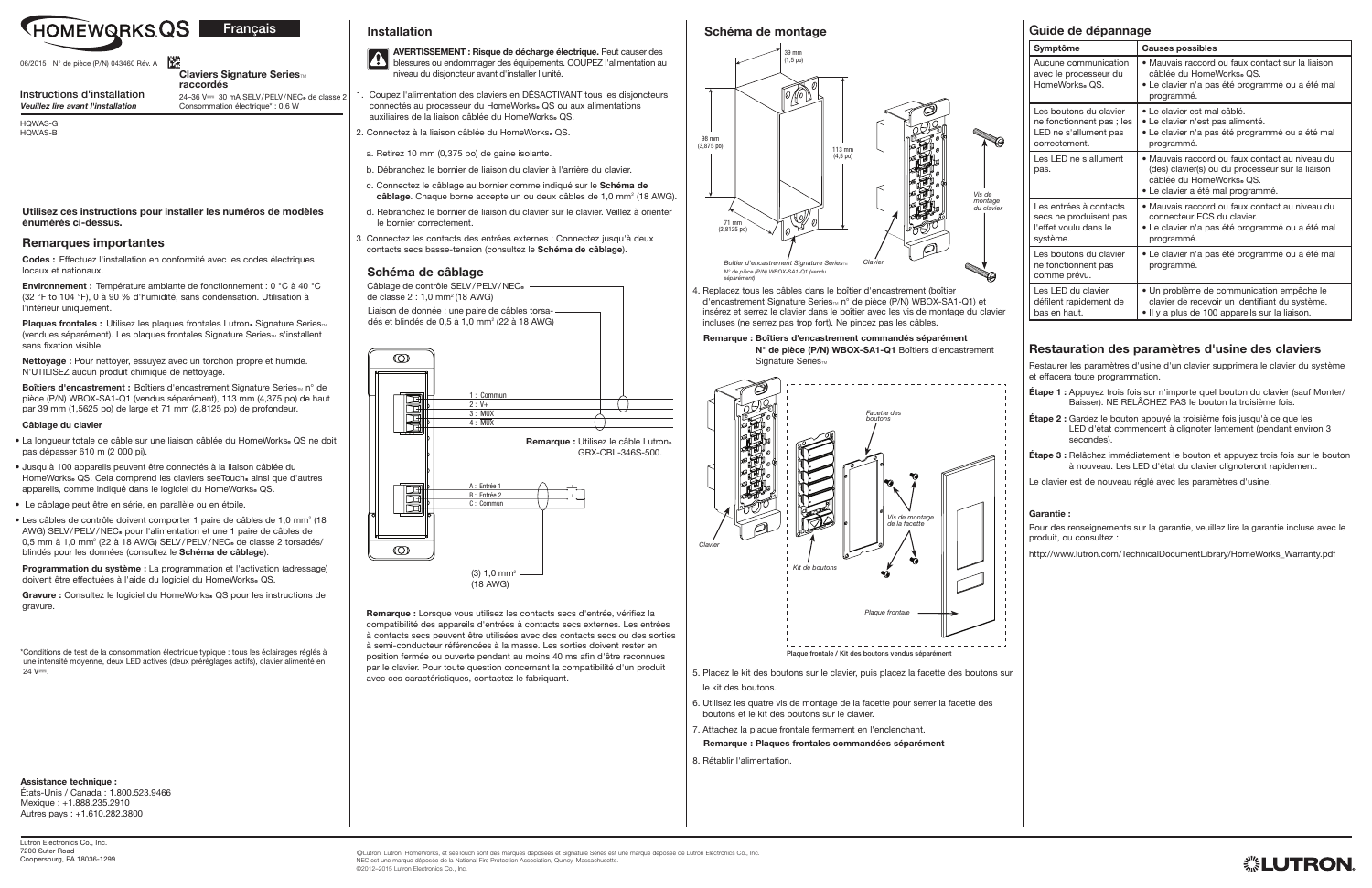4. Replacez tous les câbles dans le boîtier d'encastrement (boîtier d'encastrement Signature Series<sub>™</sub> n° de pièce (P/N) WBOX-SA1-Q1) et insérez et serrez le clavier dans le boîtier avec les vis de montage du clavier incluses (ne serrez pas trop fort). Ne pincez pas les câbles.

> N° de pièce (P/N) WBOX-SA1-Q1 Boîtiers d'encastrement Signature Series<sub>TM</sub>

## Remarque : Boîtiers d'encastrement commandés séparément

5. Placez le kit des boutons sur le clavier, puis placez la facette des boutons sur le kit des boutons.

- 6. Utilisez les quatre vis de montage de la facette pour serrer la facette des boutons et le kit des boutons sur le clavier.
- 7. Attachez la plaque frontale fermement en l'enclenchant.
- Remarque : Plaques frontales commandées séparément
- 8. Rétablir l'alimentation.
- 1. Coupez l'alimentation des claviers en DÉSACTIVANT tous les disjoncteurs connectés au processeur du HomeWorks. QS ou aux alimentations auxiliaires de la liaison câblée du HomeWorks. QS.
- 2. Connectez à la liaison câblée du HomeWorks. QS.
- a. Retirez 10 mm (0,375 po) de gaine isolante.
- b. Débranchez le bornier de liaison du clavier à l'arrière du clavier.
- c. Connectez le câblage au bornier comme indiqué sur le Schéma de câblage. Chaque borne accepte un ou deux câbles de 1,0 mm<sup>2</sup> (18 AWG).
- d. Rebranchez le bornier de liaison du clavier sur le clavier. Veillez à orienter le bornier correctement.
- 3. Connectez les contacts des entrées externes : Connectez jusqu'à deux contacts secs basse-tension (consultez le Schéma de câblage).

Plaques frontales : Utilisez les plaques frontales Lutron® Signature Series<sup>™</sup> (vendues séparément). Les plaques frontales Signature Series<sub>TM</sub> s'installent sans fixation visible.

Boîtiers d'encastrement : Boîtiers d'encastrement Signature Series<sub>TM</sub> n° de pièce (P/N) WBOX-SA1-Q1 (vendus séparément), 113 mm (4,375 po) de haut par 39 mm (1,5625 po) de large et 71 mm (2,8125 po) de profondeur.

> Remarque : Lorsque vous utilisez les contacts secs d'entrée, vérifiez la compatibilité des appareils d'entrées à contacts secs externes. Les entrées à contacts secs peuvent être utilisées avec des contacts secs ou des sorties à semi-conducteur référencées à la masse. Les sorties doivent rester en position fermée ou ouverte pendant au moins 40 ms afin d'être reconnues par le clavier. Pour toute question concernant la compatibilité d'un produit avec ces caractéristiques, contactez le fabriquant.

- La longueur totale de câble sur une liaison câblée du HomeWorks. QS ne doit pas dépasser 610 m (2 000 pi).
- Jusqu'à 100 appareils peuvent être connectés à la liaison câblée du HomeWorks. QS. Cela comprend les claviers seeTouch. ainsi que d'autres appareils, comme indiqué dans le logiciel du HomeWorks. QS.
- Le câblage peut être en série, en parallèle ou en étoile.
- Les câbles de contrôle doivent comporter 1 paire de câbles de 1,0 mm<sup>2</sup> (18 AWG) SELV/PELV/NEC<sup>®</sup> pour l'alimentation et une 1 paire de câbles de 0,5 mm à 1,0 mm<sup>2</sup> (22 à 18 AWG) SELV/PELV/NEC<sub>®</sub> de classe 2 torsadés/ blindés pour les données (consultez le Schéma de câblage).

Programmation du système : La programmation et l'activation (adressage) doivent être effectuées à l'aide du logiciel du HomeWorks® QS.

Gravure : Consultez le logiciel du HomeWorks. QS pour les instructions de gravure.

\* Conditions de test de la consommation électrique typique : tous les éclairages réglés à une intensité moyenne, deux LED actives (deux préréglages actifs), clavier alimenté en  $24 V =$ 

Assistance technique :

HQWAS-G HQWAS-B



06/2015 N° de pièce (P/N) 043460 Rév. A

Utilisez ces instructions pour installer les numéros de modèles énumérés ci-dessus.

### Remarques importantes

Codes : Effectuez l'installation en conformité avec les codes électriques locaux et nationaux.

Environnement : Température ambiante de fonctionnement : 0 °C à 40 °C (32 °F to 104 °F), 0 à 90 % d'humidité, sans condensation. Utilisation à l'intérieur uniquement.

Nettoyage : Pour nettoyer, essuyez avec un torchon propre et humide. N'UTILISEZ aucun produit chimique de nettoyage.

### Câblage du clavier

### Claviers Signature Series<sub>™</sub> raccordés

24-36 V== 30 mA SELV/PELV/NEC® de classe 2 Consommation électrique\* : 0,6 W

> Câblage de contrôle SELV/PELV/NEC<sup>®</sup> de classe 2 : 1,0 mm2 (18 AWG)

# Guide de dépannage

| Symptôme                                                                                     | <b>Causes possibles</b>                                                                                                                                             |
|----------------------------------------------------------------------------------------------|---------------------------------------------------------------------------------------------------------------------------------------------------------------------|
| Aucune communication<br>avec le processeur du<br>HomeWorks® QS.                              | • Mauvais raccord ou faux contact sur la liaison<br>câblée du HomeWorks. QS.<br>• Le clavier n'a pas été programmé ou a été mal<br>programmé.                       |
| Les boutons du clavier<br>ne fonctionnent pas; les<br>LED ne s'allument pas<br>correctement. | • Le clavier est mal câblé.<br>• Le clavier n'est pas alimenté.<br>• Le clavier n'a pas été programmé ou a été mal<br>programmé.                                    |
| Les LED ne s'allument<br>pas.                                                                | • Mauvais raccord ou faux contact au niveau du<br>(des) clavier(s) ou du processeur sur la liaison<br>câblée du HomeWorks. OS.<br>· Le clavier a été mal programmé. |
| Les entrées à contacts<br>secs ne produisent pas<br>l'effet voulu dans le<br>système.        | • Mauvais raccord ou faux contact au niveau du<br>connecteur ECS du clavier.<br>• Le clavier n'a pas été programmé ou a été mal<br>programmé.                       |
| Les boutons du clavier<br>ne fonctionnent pas<br>comme prévu.                                | • Le clavier n'a pas été programmé ou a été mal<br>programmé.                                                                                                       |
| Les LED du clavier<br>défilent rapidement de<br>bas en haut.                                 | · Un problème de communication empêche le<br>clavier de recevoir un identifiant du système.<br>• Il y a plus de 100 appareils sur la liaison.                       |

# Restauration des paramètres d'usine des claviers

Restaurer les paramètres d'usine d'un clavier supprimera le clavier du système et effacera toute programmation.

- Étape 1 : Appuyez trois fois sur n'importe quel bouton du clavier (sauf Monter/ Baisser). NE RELÂCHEZ PAS le bouton la troisième fois.
- Étape 2 : Gardez le bouton appuyé la troisième fois jusqu'à ce que les LED d'état commencent à clignoter lentement (pendant environ 3 secondes).
- Étape 3 : Relâchez immédiatement le bouton et appuyez trois fois sur le bouton à nouveau. Les LED d'état du clavier clignoteront rapidement.

Le clavier est de nouveau réglé avec les paramètres d'usine.

### Garantie :

Pour des renseignements sur la garantie, veuillez lire la garantie incluse avec le produit, ou consultez :

http://www.lutron.com/TechnicalDocumentLibrary/HomeWorks\_Warranty.pdf



Instructions d'installation *Veuillez lire avant l'installation*

États-Unis / Canada : 1.800.523.9466 Mexique : +1.888.235.2910 Autres pays : +1.610.282.3800

### Schéma de câblage

# Schéma de montage

# Installation



Liaison de donnée : une paire de câbles torsa-







AVERTISSEMENT : Risque de décharge électrique. Peut causer des blessures ou endommager des équipements. COUPEZ l'alimentation au niveau du disjoncteur avant d'installer l'unité.